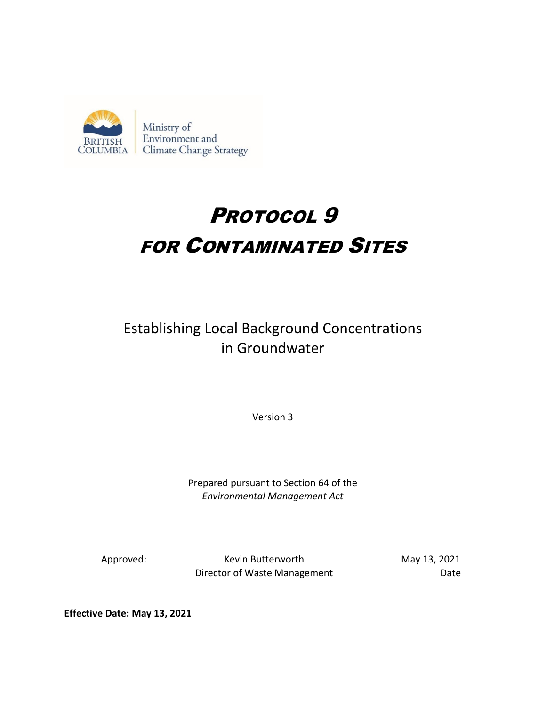

# PROTOCOL 9 FOR CONTAMINATED SITES

# Establishing Local Background Concentrations in Groundwater

Version 3

Prepared pursuant to Section 64 of the *Environmental Management Act* 

Approved: Kevin Butterworth May 13, 2021 Director of Waste Management Date

**Effective Date: May 13, 2021**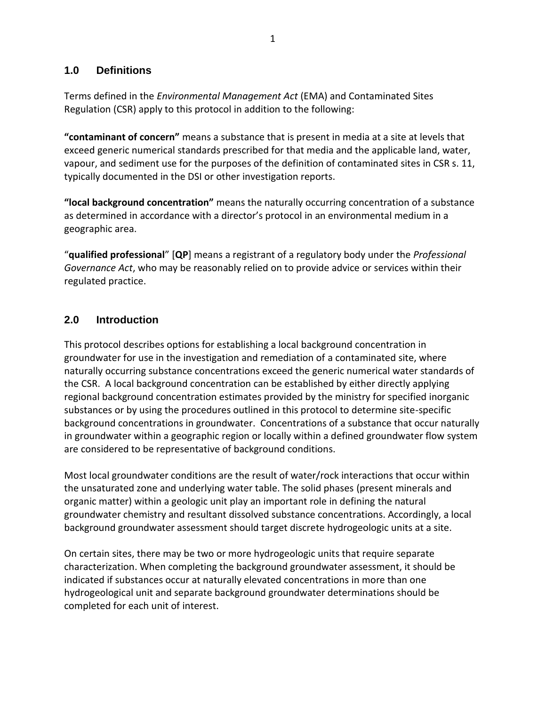#### **1.0 Definitions**

Terms defined in the *Environmental Management Act* (EMA) and Contaminated Sites Regulation (CSR) apply to this protocol in addition to the following:

**"contaminant of concern"** means a substance that is present in media at a site at levels that exceed generic numerical standards prescribed for that media and the applicable land, water, vapour, and sediment use for the purposes of the definition of contaminated sites in CSR s. 11, typically documented in the DSI or other investigation reports.

**"local background concentration"** means the naturally occurring concentration of a substance as determined in accordance with a director's protocol in an environmental medium in a geographic area.

"**qualified professional**" [**QP**] means a registrant of a regulatory body under the *Professional Governance Act*, who may be reasonably relied on to provide advice or services within their regulated practice.

# **2.0 Introduction**

This protocol describes options for establishing a local background concentration in groundwater for use in the investigation and remediation of a contaminated site, where naturally occurring substance concentrations exceed the generic numerical water standards of the CSR. A local background concentration can be established by either directly applying regional background concentration estimates provided by the ministry for specified inorganic substances or by using the procedures outlined in this protocol to determine site-specific background concentrations in groundwater. Concentrations of a substance that occur naturally in groundwater within a geographic region or locally within a defined groundwater flow system are considered to be representative of background conditions.

Most local groundwater conditions are the result of water/rock interactions that occur within the unsaturated zone and underlying water table. The solid phases (present minerals and organic matter) within a geologic unit play an important role in defining the natural groundwater chemistry and resultant dissolved substance concentrations. Accordingly, a local background groundwater assessment should target discrete hydrogeologic units at a site.

On certain sites, there may be two or more hydrogeologic units that require separate characterization. When completing the background groundwater assessment, it should be indicated if substances occur at naturally elevated concentrations in more than one hydrogeological unit and separate background groundwater determinations should be completed for each unit of interest.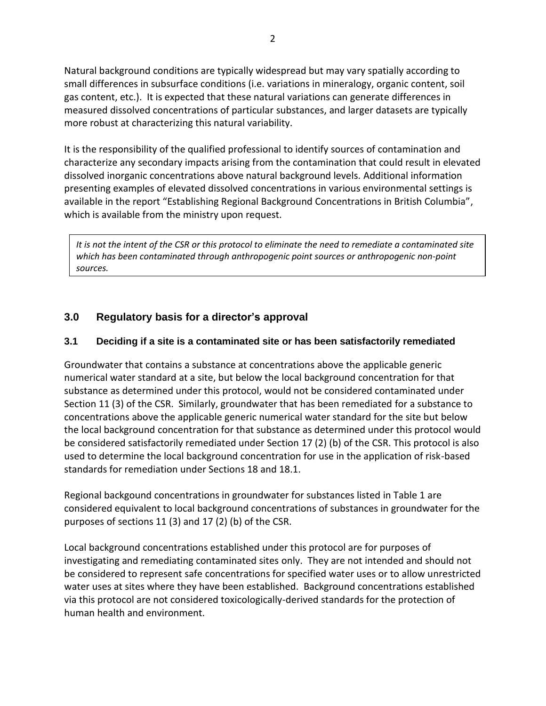Natural background conditions are typically widespread but may vary spatially according to small differences in subsurface conditions (i.e. variations in mineralogy, organic content, soil gas content, etc.). It is expected that these natural variations can generate differences in measured dissolved concentrations of particular substances, and larger datasets are typically more robust at characterizing this natural variability.

It is the responsibility of the qualified professional to identify sources of contamination and characterize any secondary impacts arising from the contamination that could result in elevated dissolved inorganic concentrations above natural background levels. Additional information presenting examples of elevated dissolved concentrations in various environmental settings is available in the report "Establishing Regional Background Concentrations in British Columbia", which is available from the ministry upon request.

*It is not the intent of the CSR or this protocol to eliminate the need to remediate a contaminated site which has been contaminated through anthropogenic point sources or anthropogenic non-point sources.*

# **3.0 Regulatory basis for a director's approval**

# **3.1 Deciding if a site is a contaminated site or has been satisfactorily remediated**

Groundwater that contains a substance at concentrations above the applicable generic numerical water standard at a site, but below the local background concentration for that substance as determined under this protocol, would not be considered contaminated under Section 11 (3) of the CSR. Similarly, groundwater that has been remediated for a substance to concentrations above the applicable generic numerical water standard for the site but below the local background concentration for that substance as determined under this protocol would be considered satisfactorily remediated under Section 17 (2) (b) of the CSR. This protocol is also used to determine the local background concentration for use in the application of risk-based standards for remediation under Sections 18 and 18.1.

Regional backgound concentrations in groundwater for substances listed in Table 1 are considered equivalent to local background concentrations of substances in groundwater for the purposes of sections 11 (3) and 17 (2) (b) of the CSR.

Local background concentrations established under this protocol are for purposes of investigating and remediating contaminated sites only. They are not intended and should not be considered to represent safe concentrations for specified water uses or to allow unrestricted water uses at sites where they have been established. Background concentrations established via this protocol are not considered toxicologically-derived standards for the protection of human health and environment.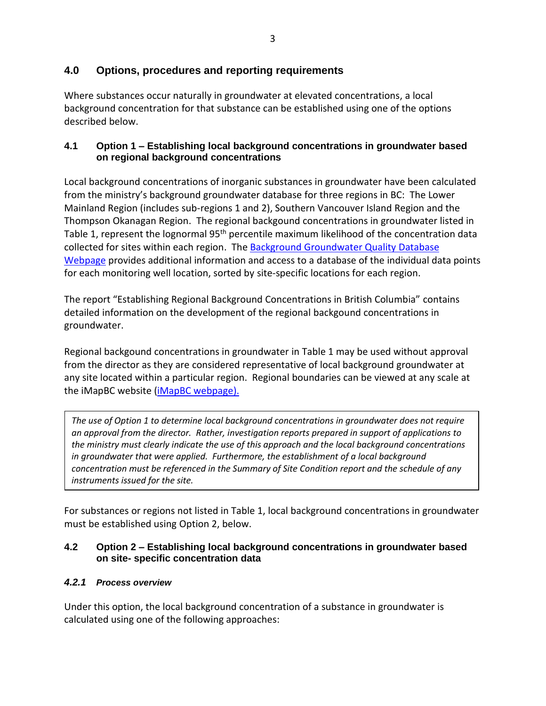# **4.0 Options, procedures and reporting requirements**

Where substances occur naturally in groundwater at elevated concentrations, a local background concentration for that substance can be established using one of the options described below.

#### **4.1 Option 1 – Establishing local background concentrations in groundwater based on regional background concentrations**

Local background concentrations of inorganic substances in groundwater have been calculated from the ministry's background groundwater database for three regions in BC: The Lower Mainland Region (includes sub-regions 1 and 2), Southern Vancouver Island Region and the Thompson Okanagan Region. The regional backgound concentrations in groundwater listed in Table 1, represent the lognormal 95<sup>th</sup> percentile maximum likelihood of the concentration data collected for sites within each region. The [Background Groundwater Quality Database](https://www2.gov.bc.ca/gov/content?id=6E49EA4123284BCB9F3153A314449011)  [Webpage](https://www2.gov.bc.ca/gov/content?id=6E49EA4123284BCB9F3153A314449011) provides additional information and access to a database of the individual data points for each monitoring well location, sorted by site-specific locations for each region.

The report "Establishing Regional Background Concentrations in British Columbia" contains detailed information on the development of the regional backgound concentrations in groundwater.

Regional backgound concentrations in groundwater in Table 1 may be used without approval from the director as they are considered representative of local background groundwater at any site located within a particular region. Regional boundaries can be viewed at any scale at the iMapBC website (*iMapBC* webpage).

*The use of Option 1 to determine local background concentrations in groundwater does not require an approval from the director. Rather, investigation reports prepared in support of applications to the ministry must clearly indicate the use of this approach and the local background concentrations in groundwater that were applied. Furthermore, the establishment of a local background concentration must be referenced in the Summary of Site Condition report and the schedule of any instruments issued for the site.*

For substances or regions not listed in Table 1, local background concentrations in groundwater must be established using Option 2, below.

#### **4.2 Option 2 – Establishing local background concentrations in groundwater based on site- specific concentration data**

#### *4.2.1 Process overview*

Under this option, the local background concentration of a substance in groundwater is calculated using one of the following approaches: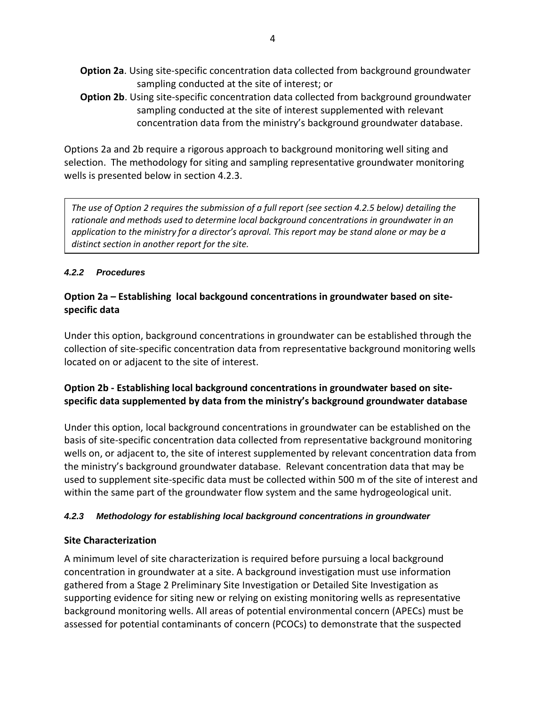- **Option 2a**. Using site-specific concentration data collected from background groundwater sampling conducted at the site of interest; or
- **Option 2b**. Using site-specific concentration data collected from background groundwater sampling conducted at the site of interest supplemented with relevant concentration data from the ministry's background groundwater database.

Options 2a and 2b require a rigorous approach to background monitoring well siting and selection. The methodology for siting and sampling representative groundwater monitoring wells is presented below in section 4.2.3.

*The use of Option 2 requires the submission of a full report (see section 4.2.5 below) detailing the rationale and methods used to determine local background concentrations in groundwater in an application to the ministry for a director's aproval. This report may be stand alone or may be a distinct section in another report for the site.*

#### *4.2.2 Procedures*

### **Option 2a – Establishing local backgound concentrations in groundwater based on sitespecific data**

Under this option, background concentrations in groundwater can be established through the collection of site-specific concentration data from representative background monitoring wells located on or adjacent to the site of interest.

# **Option 2b - Establishing local background concentrations in groundwater based on sitespecific data supplemented by data from the ministry's background groundwater database**

Under this option, local background concentrations in groundwater can be established on the basis of site-specific concentration data collected from representative background monitoring wells on, or adjacent to, the site of interest supplemented by relevant concentration data from the ministry's background groundwater database. Relevant concentration data that may be used to supplement site-specific data must be collected within 500 m of the site of interest and within the same part of the groundwater flow system and the same hydrogeological unit.

#### *4.2.3 Methodology for establishing local background concentrations in groundwater*

#### **Site Characterization**

A minimum level of site characterization is required before pursuing a local background concentration in groundwater at a site. A background investigation must use information gathered from a Stage 2 Preliminary Site Investigation or Detailed Site Investigation as supporting evidence for siting new or relying on existing monitoring wells as representative background monitoring wells. All areas of potential environmental concern (APECs) must be assessed for potential contaminants of concern (PCOCs) to demonstrate that the suspected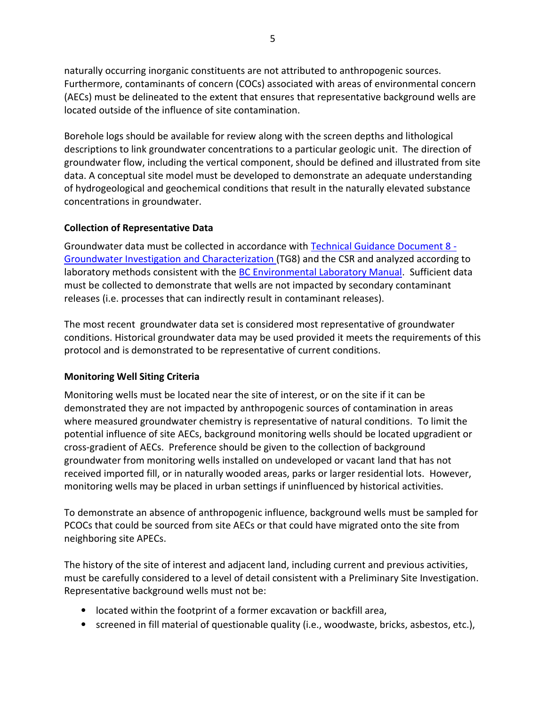naturally occurring inorganic constituents are not attributed to anthropogenic sources. Furthermore, contaminants of concern (COCs) associated with areas of environmental concern (AECs) must be delineated to the extent that ensures that representative background wells are located outside of the influence of site contamination.

Borehole logs should be available for review along with the screen depths and lithological descriptions to link groundwater concentrations to a particular geologic unit. The direction of groundwater flow, including the vertical component, should be defined and illustrated from site data. A conceptual site model must be developed to demonstrate an adequate understanding of hydrogeological and geochemical conditions that result in the naturally elevated substance concentrations in groundwater.

#### **Collection of Representative Data**

Groundwater data must be collected in accordance with [Technical Guidance Document 8 -](https://www2.gov.bc.ca/gov/content?id=BE254261EC8C4ABDB096A1D8EB290CE7) [Groundwater Investigation and Characterization \(](https://www2.gov.bc.ca/gov/content?id=BE254261EC8C4ABDB096A1D8EB290CE7)TG8) and the CSR and analyzed according to laboratory methods consistent with the [BC Environmental Laboratory Manual.](https://www2.gov.bc.ca/gov/content?id=6C06E7FC3FB242738BAB41458A2121A3) Sufficient data must be collected to demonstrate that wells are not impacted by secondary contaminant releases (i.e. processes that can indirectly result in contaminant releases).

The most recent groundwater data set is considered most representative of groundwater conditions. Historical groundwater data may be used provided it meets the requirements of this protocol and is demonstrated to be representative of current conditions.

#### **Monitoring Well Siting Criteria**

Monitoring wells must be located near the site of interest, or on the site if it can be demonstrated they are not impacted by anthropogenic sources of contamination in areas where measured groundwater chemistry is representative of natural conditions. To limit the potential influence of site AECs, background monitoring wells should be located upgradient or cross-gradient of AECs. Preference should be given to the collection of background groundwater from monitoring wells installed on undeveloped or vacant land that has not received imported fill, or in naturally wooded areas, parks or larger residential lots. However, monitoring wells may be placed in urban settings if uninfluenced by historical activities.

To demonstrate an absence of anthropogenic influence, background wells must be sampled for PCOCs that could be sourced from site AECs or that could have migrated onto the site from neighboring site APECs.

The history of the site of interest and adjacent land, including current and previous activities, must be carefully considered to a level of detail consistent with a Preliminary Site Investigation. Representative background wells must not be:

- located within the footprint of a former excavation or backfill area,
- screened in fill material of questionable quality (i.e., woodwaste, bricks, asbestos, etc.),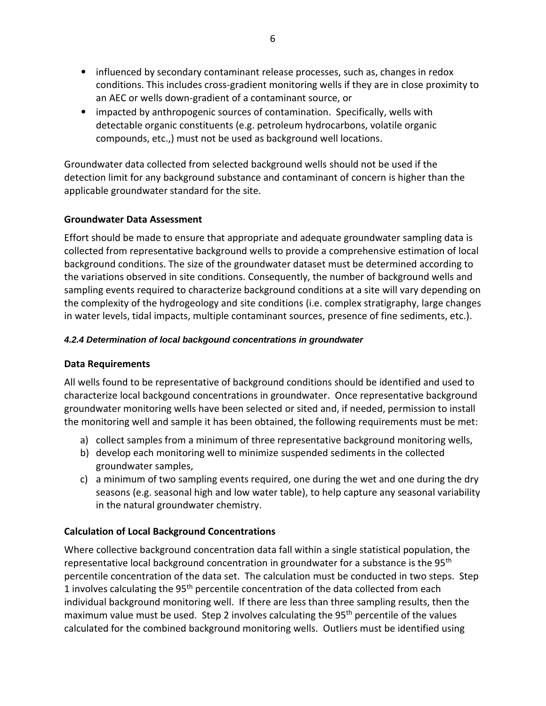- influenced by secondary contaminant release processes, such as, changes in redox conditions. This includes cross-gradient monitoring wells if they are in close proximity to an AEC or wells down-gradient of a contaminant source, or
- impacted by anthropogenic sources of contamination. Specifically, wells with detectable organic constituents (e.g. petroleum hydrocarbons, volatile organic compounds, etc.,) must not be used as background well locations.

Groundwater data collected from selected background wells should not be used if the detection limit for any background substance and contaminant of concern is higher than the applicable groundwater standard for the site.

#### **Groundwater Data Assessment**

Effort should be made to ensure that appropriate and adequate groundwater sampling data is collected from representative background wells to provide a comprehensive estimation of local background conditions. The size of the groundwater dataset must be determined according to the variations observed in site conditions. Consequently, the number of background wells and sampling events required to characterize background conditions at a site will vary depending on the complexity of the hydrogeology and site conditions (i.e. complex stratigraphy, large changes in water levels, tidal impacts, multiple contaminant sources, presence of fine sediments, etc.).

#### *4.2.4 Determination of local backgound concentrations in groundwater*

#### **Data Requirements**

All wells found to be representative of background conditions should be identified and used to characterize local backgound concentrations in groundwater. Once representative background groundwater monitoring wells have been selected or sited and, if needed, permission to install the monitoring well and sample it has been obtained, the following requirements must be met:

- a) collect samples from a minimum of three representative background monitoring wells,
- b) develop each monitoring well to minimize suspended sediments in the collected groundwater samples,
- c) a minimum of two sampling events required, one during the wet and one during the dry seasons (e.g. seasonal high and low water table), to help capture any seasonal variability in the natural groundwater chemistry.

#### **Calculation of Local Background Concentrations**

Where collective background concentration data fall within a single statistical population, the representative local background concentration in groundwater for a substance is the 95<sup>th</sup> percentile concentration of the data set. The calculation must be conducted in two steps. Step 1 involves calculating the  $95<sup>th</sup>$  percentile concentration of the data collected from each individual background monitoring well. If there are less than three sampling results, then the maximum value must be used. Step 2 involves calculating the 95<sup>th</sup> percentile of the values calculated for the combined background monitoring wells. Outliers must be identified using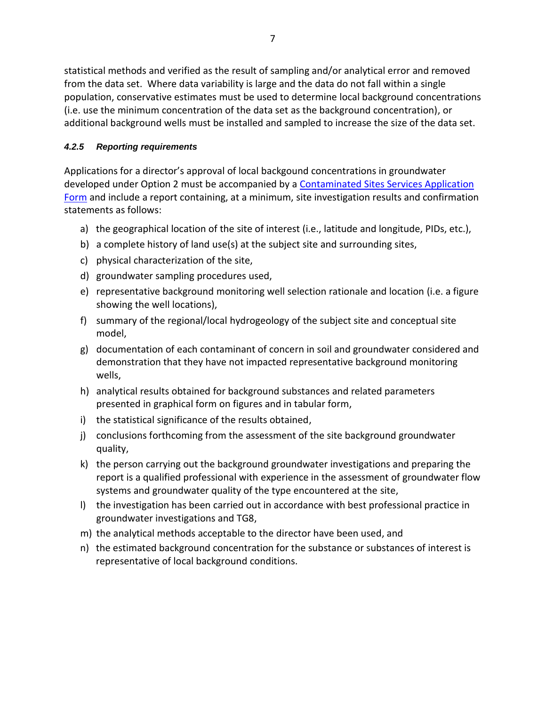statistical methods and verified as the result of sampling and/or analytical error and removed from the data set. Where data variability is large and the data do not fall within a single population, conservative estimates must be used to determine local background concentrations (i.e. use the minimum concentration of the data set as the background concentration), or additional background wells must be installed and sampled to increase the size of the data set.

# *4.2.5 Reporting requirements*

Applications for a director's approval of local backgound concentrations in groundwater developed under Option 2 must be accompanied by a [Contaminated Sites Services](https://www2.gov.bc.ca/gov/content?id=2C0129A6712B45C2BCB52C818E3AE203) Application [Form](https://www2.gov.bc.ca/gov/content?id=2C0129A6712B45C2BCB52C818E3AE203) and include a report containing, at a minimum, site investigation results and confirmation statements as follows:

- a) the geographical location of the site of interest (i.e., latitude and longitude, PIDs, etc.),
- b) a complete history of land use(s) at the subject site and surrounding sites,
- c) physical characterization of the site,
- d) groundwater sampling procedures used,
- e) representative background monitoring well selection rationale and location (i.e. a figure showing the well locations),
- f) summary of the regional/local hydrogeology of the subject site and conceptual site model,
- g) documentation of each contaminant of concern in soil and groundwater considered and demonstration that they have not impacted representative background monitoring wells,
- h) analytical results obtained for background substances and related parameters presented in graphical form on figures and in tabular form,
- i) the statistical significance of the results obtained,
- j) conclusions forthcoming from the assessment of the site background groundwater quality,
- k) the person carrying out the background groundwater investigations and preparing the report is a qualified professional with experience in the assessment of groundwater flow systems and groundwater quality of the type encountered at the site,
- l) the investigation has been carried out in accordance with best professional practice in groundwater investigations and TG8,
- m) the analytical methods acceptable to the director have been used, and
- n) the estimated background concentration for the substance or substances of interest is representative of local background conditions.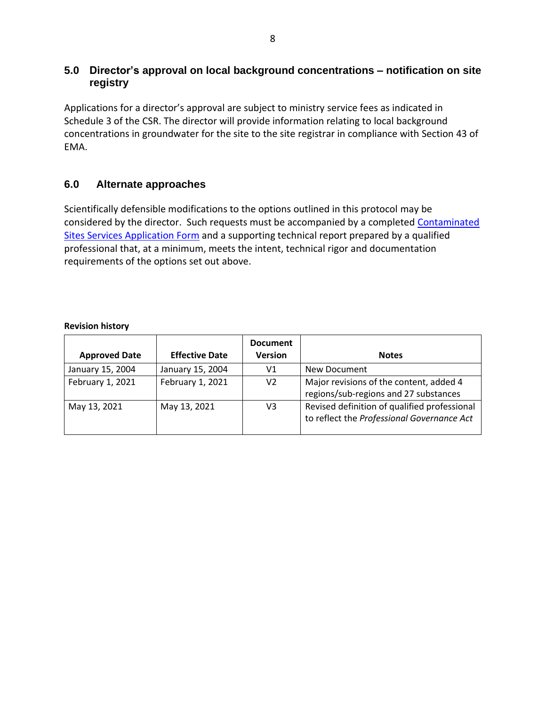# **5.0 Director's approval on local background concentrations – notification on site registry**

Applications for a director's approval are subject to ministry service fees as indicated in Schedule 3 of the CSR. The director will provide information relating to local background concentrations in groundwater for the site to the site registrar in compliance with Section 43 of EMA.

# **6.0 Alternate approaches**

Scientifically defensible modifications to the options outlined in this protocol may be considered by the director. Such requests must be accompanied by a completed [Contaminated](https://www2.gov.bc.ca/gov/content?id=8CBC9914195D4DF381CED08C6A382CF4)  Sites [Services Application Form](https://www2.gov.bc.ca/gov/content?id=8CBC9914195D4DF381CED08C6A382CF4) and a supporting technical report prepared by a qualified professional that, at a minimum, meets the intent, technical rigor and documentation requirements of the options set out above.

#### **Revision history**

| <b>Approved Date</b> | <b>Effective Date</b> | <b>Document</b><br><b>Version</b> | <b>Notes</b>                                                                               |
|----------------------|-----------------------|-----------------------------------|--------------------------------------------------------------------------------------------|
| January 15, 2004     | January 15, 2004      | V1                                | New Document                                                                               |
| February 1, 2021     | February 1, 2021      | V <sub>2</sub>                    | Major revisions of the content, added 4<br>regions/sub-regions and 27 substances           |
| May 13, 2021         | May 13, 2021          | V3                                | Revised definition of qualified professional<br>to reflect the Professional Governance Act |